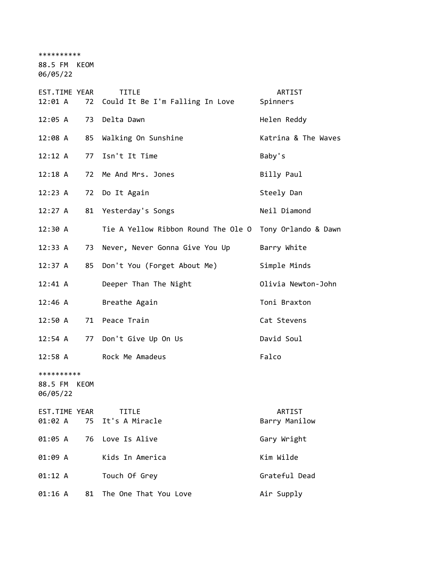\*\*\*\*\*\*\*\*\*\*

88.5 FM KEOM

06/05/22

| EST.TIME YEAR<br>12:01 A | 72 | <b>TITLE</b><br>Could It Be I'm Falling In Love         | ARTIST<br>Spinners  |
|--------------------------|----|---------------------------------------------------------|---------------------|
| 12:05 A                  | 73 | Delta Dawn                                              | Helen Reddy         |
| 12:08 A                  | 85 | Walking On Sunshine                                     | Katrina & The Waves |
| 12:12 A                  | 77 | Isn't It Time                                           | Baby's              |
| $12:18$ A                | 72 | Me And Mrs. Jones                                       | Billy Paul          |
| 12:23 A                  |    | 72 Do It Again                                          | Steely Dan          |
| 12:27 A                  |    | 81 Yesterday's Songs                                    | Neil Diamond        |
| 12:30 A                  |    | Tie A Yellow Ribbon Round The Ole O Tony Orlando & Dawn |                     |
| 12:33 A                  | 73 | Never, Never Gonna Give You Up                          | Barry White         |
| 12:37 A                  | 85 | Don't You (Forget About Me)                             | Simple Minds        |
| $12:41 \; \text{A}$      |    | Deeper Than The Night                                   | Olivia Newton-John  |
| $12:46$ A                |    | Breathe Again                                           | Toni Braxton        |
| 12:50 A                  |    | 71 Peace Train                                          | Cat Stevens         |
| $12:54$ A                |    | 77 Don't Give Up On Us                                  | David Soul          |
| 12:58 A                  |    | Rock Me Amadeus                                         | Falco               |
| **********               |    |                                                         |                     |
| 88.5 FM KEOM<br>06/05/22 |    |                                                         |                     |
| EST.TIME YEAR            |    | <b>TITLE</b>                                            | ARTIST              |
| 01:02 A                  | 75 | It's A Miracle                                          | Barry Manilow       |
| 01:05 A                  |    | 76 Love Is Alive                                        | Gary Wright         |
| 01:09 A                  |    | Kids In America                                         | Kim Wilde           |
| 01:12 A                  |    | Touch Of Grey                                           | Grateful Dead       |
| 01:16 A                  | 81 | The One That You Love                                   | Air Supply          |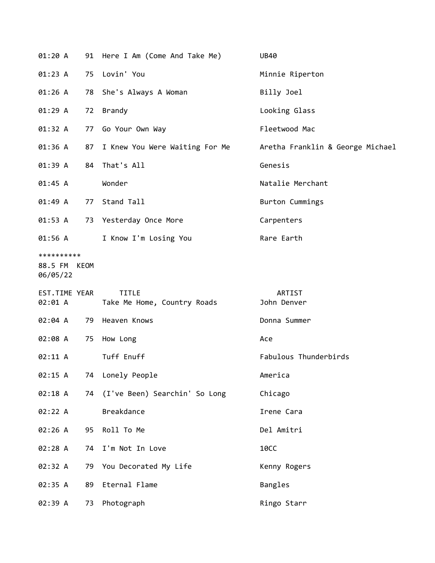| 01:20 A                                |    | 91 Here I Am (Come And Take Me)             | <b>UB40</b>                      |
|----------------------------------------|----|---------------------------------------------|----------------------------------|
| 01:23 A                                | 75 | Lovin' You                                  | Minnie Riperton                  |
| 01:26 A                                |    | 78 She's Always A Woman                     | Billy Joel                       |
| 01:29 A                                | 72 | Brandy                                      | Looking Glass                    |
| 01:32 A                                |    | 77 Go Your Own Way                          | Fleetwood Mac                    |
| 01:36 A                                |    | 87 I Knew You Were Waiting For Me           | Aretha Franklin & George Michael |
| 01:39 A                                |    | 84 That's All                               | Genesis                          |
| 01:45 A                                |    | Wonder                                      | Natalie Merchant                 |
| 01:49 A                                |    | 77 Stand Tall                               | Burton Cummings                  |
| 01:53 A                                |    | 73 Yesterday Once More                      | Carpenters                       |
| 01:56 A                                |    | I Know I'm Losing You                       | Rare Earth                       |
| **********<br>88.5 FM KEOM<br>06/05/22 |    |                                             |                                  |
| EST.TIME YEAR<br>02:01 A               |    | <b>TITLE</b><br>Take Me Home, Country Roads | ARTIST<br>John Denver            |
| 02:04 A                                |    | 79 Heaven Knows                             | Donna Summer                     |
| 02:08 A                                | 75 | How Long                                    | Ace                              |
| 02:11 A                                |    | Tuff Enuff                                  | Fabulous Thunderbirds            |
| 02:15 A                                |    | 74 Lonely People                            | America                          |
| 02:18 A                                |    | 74 (I've Been) Searchin' So Long            | Chicago                          |
| 02:22 A                                |    | Breakdance                                  | Irene Cara                       |
| 02:26 A                                | 95 | Roll To Me                                  | Del Amitri                       |
| 02:28 A                                | 74 | I'm Not In Love                             | <b>10CC</b>                      |
|                                        |    |                                             |                                  |
| 02:32 A                                | 79 | You Decorated My Life                       | Kenny Rogers                     |
| 02:35 A                                | 89 | Eternal Flame                               | Bangles                          |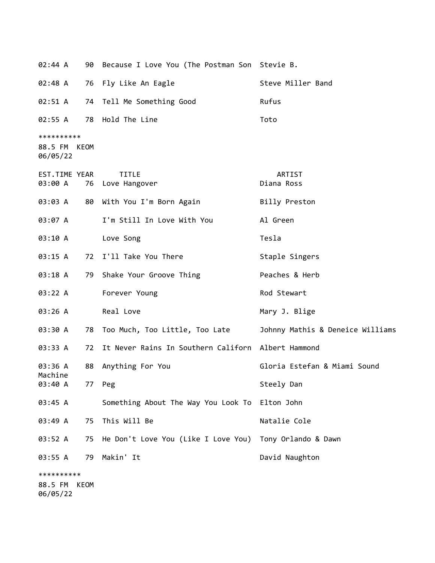| 02:44 A             |      | 90 Because I Love You (The Postman Son Stevie B.   |                                  |
|---------------------|------|----------------------------------------------------|----------------------------------|
| 02:48 A             |      | 76 Fly Like An Eagle                               | Steve Miller Band                |
| 02:51 A             |      | 74 Tell Me Something Good                          | Rufus                            |
| 02:55 A             |      | 78 Hold The Line                                   | Toto                             |
| **********          |      |                                                    |                                  |
| 88.5 FM<br>06/05/22 | KEOM |                                                    |                                  |
| EST.TIME YEAR       |      | <b>TITLE</b>                                       | ARTIST                           |
| 03:00 A             |      | 76 Love Hangover                                   | Diana Ross                       |
| 03:03 A             |      | 80 With You I'm Born Again                         | Billy Preston                    |
| 03:07 A             |      | I'm Still In Love With You                         | Al Green                         |
| 03:10 A             |      | Love Song                                          | Tesla                            |
| 03:15 A             |      | 72 I'll Take You There                             | Staple Singers                   |
| 03:18 A             |      | 79 Shake Your Groove Thing                         | Peaches & Herb                   |
| 03:22 A             |      | Forever Young                                      | Rod Stewart                      |
| 03:26 A             |      | Real Love                                          | Mary J. Blige                    |
| 03:30 A             |      | 78 Too Much, Too Little, Too Late                  | Johnny Mathis & Deneice Williams |
| 03:33 A             | 72   | It Never Rains In Southern Californ Albert Hammond |                                  |
| 03:36 A<br>Machine  | 88   | Anything For You                                   | Gloria Estefan & Miami Sound     |
| 03:40 A             | 77   | Peg                                                | Steely Dan                       |
| 03:45 A             |      | Something About The Way You Look To                | Elton John                       |
| 03:49 A             | 75   | This Will Be                                       | Natalie Cole                     |
| 03:52 A             | 75   | He Don't Love You (Like I Love You)                | Tony Orlando & Dawn              |
| 03:55 A             | 79   | Makin' It                                          | David Naughton                   |
| **********          |      |                                                    |                                  |
| 88.5 FM<br>06/05/22 | KEOM |                                                    |                                  |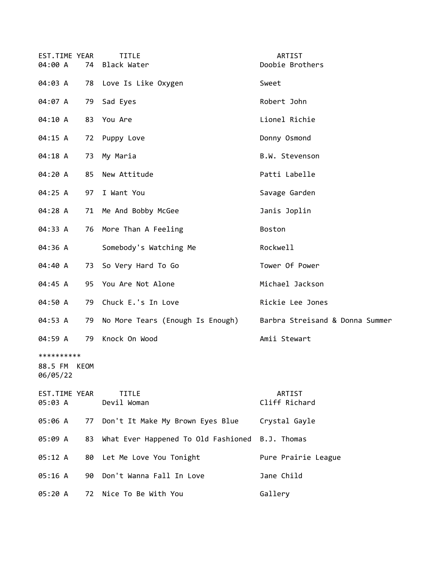| EST.TIME YEAR<br>04:00 A               |    | <b>TITLE</b><br>74 Black Water                  | ARTIST<br>Doobie Brothers       |
|----------------------------------------|----|-------------------------------------------------|---------------------------------|
| 04:03 A                                |    | 78 Love Is Like Oxygen                          | Sweet                           |
| 04:07 A                                | 79 | Sad Eyes                                        | Robert John                     |
| 04:10 A                                | 83 | You Are                                         | Lionel Richie                   |
| 04:15 A                                |    | 72 Puppy Love                                   | Donny Osmond                    |
| 04:18 A                                | 73 | My Maria                                        | B.W. Stevenson                  |
| 04:20 A                                | 85 | New Attitude                                    | Patti Labelle                   |
| 04:25 A                                | 97 | I Want You                                      | Savage Garden                   |
| 04:28 A                                |    | 71 Me And Bobby McGee                           | Janis Joplin                    |
| 04:33 A                                |    | 76 More Than A Feeling                          | Boston                          |
| 04:36 A                                |    | Somebody's Watching Me                          | Rockwell                        |
| 04:40 A                                | 73 | So Very Hard To Go                              | Tower Of Power                  |
| 04:45 A                                |    | 95 You Are Not Alone                            | Michael Jackson                 |
| 04:50 A                                | 79 | Chuck E.'s In Love                              | Rickie Lee Jones                |
| 04:53 A                                | 79 | No More Tears (Enough Is Enough)                | Barbra Streisand & Donna Summer |
| 04:59 A                                | 79 | Knock On Wood                                   | Amii Stewart                    |
| **********<br>88.5 FM KEOM<br>06/05/22 |    |                                                 |                                 |
| EST.TIME YEAR<br>05:03 A               |    | <b>TITLE</b><br>Devil Woman                     | <b>ARTIST</b><br>Cliff Richard  |
| 05:06 A                                | 77 | Don't It Make My Brown Eyes Blue                | Crystal Gayle                   |
| 05:09 A                                | 83 | What Ever Happened To Old Fashioned B.J. Thomas |                                 |
| 05:12 A                                | 80 | Let Me Love You Tonight                         | Pure Prairie League             |
| 05:16 A                                | 90 | Don't Wanna Fall In Love                        | Jane Child                      |
| 05:20 A                                | 72 | Nice To Be With You                             | Gallery                         |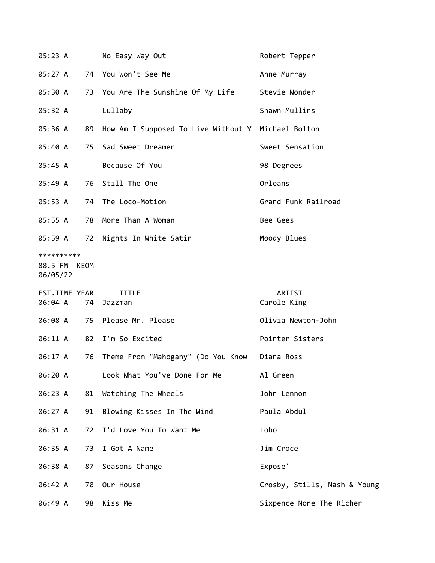| 05:23 A                                |    | No Easy Way Out                                       | Robert Tepper                |
|----------------------------------------|----|-------------------------------------------------------|------------------------------|
| 05:27 A                                |    | 74 You Won't See Me                                   | Anne Murray                  |
| 05:30 A                                |    | 73 You Are The Sunshine Of My Life                    | Stevie Wonder                |
| 05:32 A                                |    | Lullaby                                               | Shawn Mullins                |
| 05:36 A                                |    | 89 How Am I Supposed To Live Without Y Michael Bolton |                              |
| 05:40 A                                |    | 75 Sad Sweet Dreamer                                  | Sweet Sensation              |
| 05:45 A                                |    | Because Of You                                        | 98 Degrees                   |
| 05:49 A                                |    | 76 Still The One                                      | Orleans                      |
| 05:53 A                                |    | 74 The Loco-Motion                                    | Grand Funk Railroad          |
| 05:55 A                                |    | 78 More Than A Woman                                  | Bee Gees                     |
| 05:59 A                                |    | 72 Nights In White Satin                              | Moody Blues                  |
| **********<br>88.5 FM KEOM<br>06/05/22 |    |                                                       |                              |
| EST.TIME YEAR<br>06:04 A               | 74 | <b>TITLE</b><br>Jazzman                               | ARTIST<br>Carole King        |
|                                        |    | 06:08 A 75 Please Mr. Please                          | Olivia Newton-John           |
| 06:11 A                                |    | 82 I'm So Excited                                     | Pointer Sisters              |
| 06:17 A                                | 76 | Theme From "Mahogany" (Do You Know                    | Diana Ross                   |
| 06:20 A                                |    | Look What You've Done For Me                          | Al Green                     |
| 06:23 A                                | 81 | Watching The Wheels                                   | John Lennon                  |
| 06:27 A                                | 91 | Blowing Kisses In The Wind                            | Paula Abdul                  |
| 06:31 A                                | 72 | I'd Love You To Want Me                               | Lobo                         |
| 06:35 A                                | 73 | I Got A Name                                          | Jim Croce                    |
| 06:38 A                                | 87 | Seasons Change                                        | Expose'                      |
| 06:42 A                                | 70 | Our House                                             | Crosby, Stills, Nash & Young |
| 06:49 A                                | 98 | Kiss Me                                               | Sixpence None The Richer     |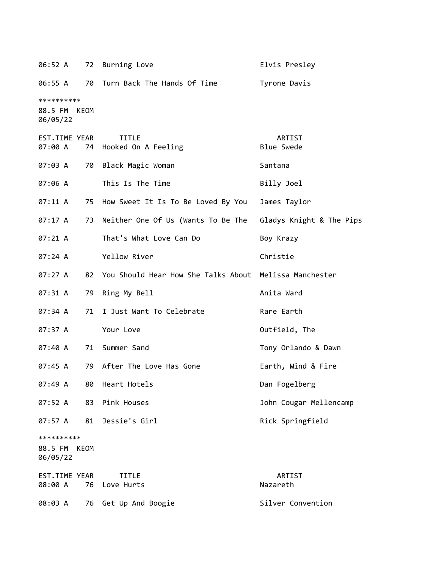|                                        |      | 06:52 A 72 Burning Love                                     | Elvis Presley               |
|----------------------------------------|------|-------------------------------------------------------------|-----------------------------|
| 06:55 A                                |      | 70 Turn Back The Hands Of Time                              | Tyrone Davis                |
| **********<br>88.5 FM KEOM<br>06/05/22 |      |                                                             |                             |
| EST.TIME YEAR<br>07:00 A               |      | <b>TITLE</b><br>74 Hooked On A Feeling                      | ARTIST<br><b>Blue Swede</b> |
| 07:03 A                                |      | 70 Black Magic Woman                                        | Santana                     |
| 07:06 A                                |      | This Is The Time                                            | Billy Joel                  |
| 07:11 A                                |      | 75 How Sweet It Is To Be Loved By You                       | James Taylor                |
| 07:17 A                                | 73   | Neither One Of Us (Wants To Be The Gladys Knight & The Pips |                             |
| $07:21 \; A$                           |      | That's What Love Can Do                                     | Boy Krazy                   |
| 07:24 A                                |      | Yellow River                                                | Christie                    |
| 07:27 A                                |      | 82 You Should Hear How She Talks About Melissa Manchester   |                             |
| 07:31 A                                |      | 79 Ring My Bell                                             | Anita Ward                  |
| 07:34 A                                | 71   | I Just Want To Celebrate                                    | Rare Earth                  |
| 07:37 A                                |      | Your Love                                                   | Outfield, The               |
| 07:40A                                 |      | 71 Summer Sand                                              | Tony Orlando & Dawn         |
| 07:45 A                                |      | 79 After The Love Has Gone                                  | Earth, Wind & Fire          |
| 07:49A                                 | 80   | Heart Hotels                                                | Dan Fogelberg               |
| 07:52 A                                | 83   | Pink Houses                                                 | John Cougar Mellencamp      |
| 07:57 A                                | 81   | Jessie's Girl                                               | Rick Springfield            |
| **********<br>88.5 FM<br>06/05/22      | KEOM |                                                             |                             |
| EST.TIME YEAR<br>08:00 A               |      | <b>TITLE</b><br>76 Love Hurts                               | ARTIST<br>Nazareth          |
| 08:03 A                                |      | 76 Get Up And Boogie                                        | Silver Convention           |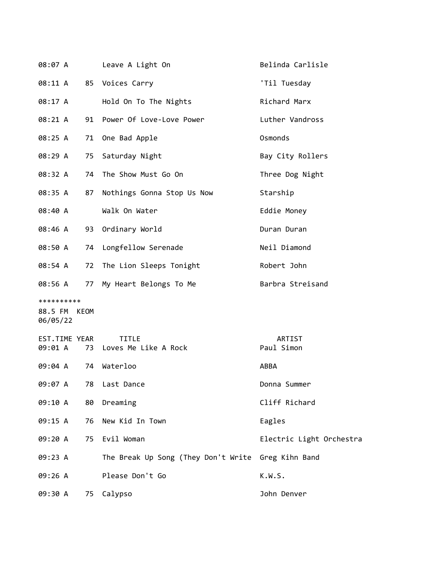| 08:07 A                  |    | Leave A Light On                                   | Belinda Carlisle         |
|--------------------------|----|----------------------------------------------------|--------------------------|
| 08:11 A                  |    | 85 Voices Carry                                    | 'Til Tuesday             |
| 08:17 A                  |    | Hold On To The Nights                              | Richard Marx             |
| 08:21 A                  |    | 91 Power Of Love-Love Power                        | Luther Vandross          |
| 08:25 A                  | 71 | One Bad Apple                                      | Osmonds                  |
| 08:29 A                  | 75 | Saturday Night                                     | Bay City Rollers         |
| 08:32 A                  | 74 | The Show Must Go On                                | Three Dog Night          |
| 08:35 A                  | 87 | Nothings Gonna Stop Us Now                         | Starship                 |
| 08:40 A                  |    | Walk On Water                                      | Eddie Money              |
| 08:46 A                  | 93 | Ordinary World                                     | Duran Duran              |
| 08:50 A                  |    | 74 Longfellow Serenade                             | Neil Diamond             |
| 08:54 A                  |    | 72 The Lion Sleeps Tonight                         | Robert John              |
| 08:56 A                  |    | 77 My Heart Belongs To Me                          | Barbra Streisand         |
| **********               |    |                                                    |                          |
| 88.5 FM KEOM<br>06/05/22 |    |                                                    |                          |
| EST.TIME YEAR<br>09:01 A |    | <b>TITLE</b><br>73 Loves Me Like A Rock            | ARTIST<br>Paul Simon     |
| 09:04 A                  | 74 | Waterloo                                           | ABBA                     |
| 09:07 A                  | 78 | Last Dance                                         | Donna Summer             |
| 09:10 A                  | 80 | Dreaming                                           | Cliff Richard            |
| 09:15 A                  | 76 | New Kid In Town                                    | Eagles                   |
| 09:20 A                  | 75 | Evil Woman                                         | Electric Light Orchestra |
| 09:23 A                  |    | The Break Up Song (They Don't Write Greg Kihn Band |                          |
| 09:26 A                  |    | Please Don't Go                                    | K.W.S.                   |
| 09:30 A                  | 75 | Calypso                                            | John Denver              |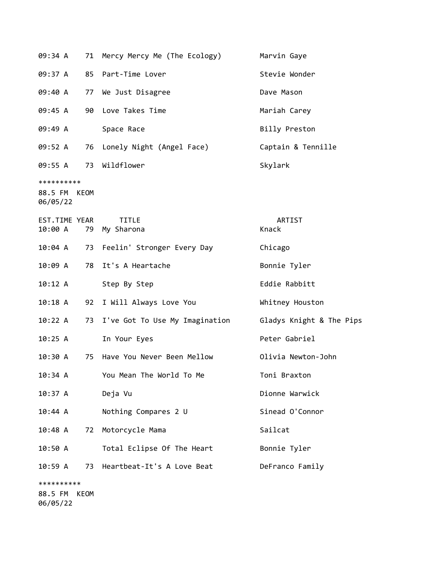| 09:34 A                                |      | 71 Mercy Mercy Me (The Ecology)   | Marvin Gaye              |
|----------------------------------------|------|-----------------------------------|--------------------------|
| 09:37 A                                | 85   | Part-Time Lover                   | Stevie Wonder            |
| 09:40 A                                | 77   | We Just Disagree                  | Dave Mason               |
| 09:45 A                                | 90   | Love Takes Time                   | Mariah Carey             |
| 09:49 A                                |      | Space Race                        | Billy Preston            |
| 09:52 A                                | 76   | Lonely Night (Angel Face)         | Captain & Tennille       |
| 09:55 A                                | 73   | Wildflower                        | Skylark                  |
| **********<br>88.5 FM KEOM<br>06/05/22 |      |                                   |                          |
| EST.TIME YEAR<br>10:00 A               | 79   | <b>TITLE</b><br>My Sharona        | ARTIST<br>Knack          |
| 10:04 A                                |      | 73 Feelin' Stronger Every Day     | Chicago                  |
| 10:09 A                                | 78   | It's A Heartache                  | Bonnie Tyler             |
| 10:12 A                                |      | Step By Step                      | Eddie Rabbitt            |
| $10:18$ A                              |      | 92 I Will Always Love You         | Whitney Houston          |
| 10:22 A                                |      | 73 I've Got To Use My Imagination | Gladys Knight & The Pips |
| 10:25 A                                |      | In Your Eyes                      | Peter Gabriel            |
| 10:30 A                                | 75   | Have You Never Been Mellow        | Olivia Newton-John       |
| 10:34 A                                |      | You Mean The World To Me          | Toni Braxton             |
| 10:37 A                                |      | Deja Vu                           | Dionne Warwick           |
| 10:44 A                                |      | Nothing Compares 2 U              | Sinead O'Connor          |
| 10:48 A                                | 72   | Motorcycle Mama                   | Sailcat                  |
| 10:50 A                                |      | Total Eclipse Of The Heart        | Bonnie Tyler             |
| 10:59 A                                | 73   | Heartbeat-It's A Love Beat        | DeFranco Family          |
| **********<br>88.5 FM                  | KEOM |                                   |                          |

06/05/22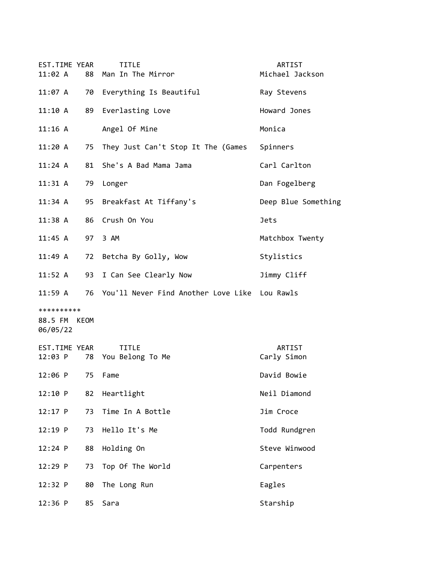| EST.TIME YEAR<br>11:02 A               | 88 | <b>TITLE</b><br>Man In The Mirror                | ARTIST<br>Michael Jackson |
|----------------------------------------|----|--------------------------------------------------|---------------------------|
| 11:07 A                                |    | 70 Everything Is Beautiful                       | Ray Stevens               |
| 11:10 A                                | 89 | Everlasting Love                                 | Howard Jones              |
| $11:16$ A                              |    | Angel Of Mine                                    | Monica                    |
| 11:20 A                                | 75 | They Just Can't Stop It The (Games               | Spinners                  |
| $11:24$ A                              |    | 81 She's A Bad Mama Jama                         | Carl Carlton              |
| 11:31 A                                |    | 79 Longer                                        | Dan Fogelberg             |
| 11:34 A                                | 95 | Breakfast At Tiffany's                           | Deep Blue Something       |
| $11:38$ A                              | 86 | Crush On You                                     | <b>Jets</b>               |
| $11:45$ A                              | 97 | 3 AM                                             | Matchbox Twenty           |
| 11:49 A                                | 72 | Betcha By Golly, Wow                             | Stylistics                |
| 11:52 A                                | 93 | I Can See Clearly Now                            | Jimmy Cliff               |
| 11:59 A                                |    | 76 You'll Never Find Another Love Like Lou Rawls |                           |
| **********<br>88.5 FM KEOM<br>06/05/22 |    |                                                  |                           |
| EST.TIME YEAR<br>12:03 P               |    | <b>TITLE</b><br>78 You Belong To Me              | ARTIST<br>Carly Simon     |
| $12:06$ P                              | 75 | Fame                                             | David Bowie               |
| 12:10 P                                | 82 | Heartlight                                       | Neil Diamond              |
| $12:17$ P                              | 73 | Time In A Bottle                                 | Jim Croce                 |
| $12:19$ P                              | 73 | Hello It's Me                                    | Todd Rundgren             |
| 12:24 P                                | 88 | Holding On                                       | Steve Winwood             |
| 12:29 P                                | 73 | Top Of The World                                 | Carpenters                |
| 12:32 P                                | 80 | The Long Run                                     | Eagles                    |
| $12:36$ P                              | 85 | Sara                                             | Starship                  |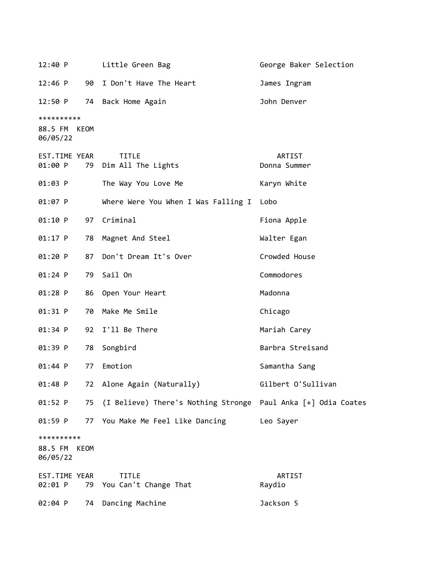12:40 P Little Green Bag George Baker Selection 12:46 P 90 I Don't Have The Heart James Ingram 12:50 P 74 Back Home Again 12:50 P 74 Back Home Again \*\*\*\*\*\*\*\*\*\* 88.5 FM KEOM 06/05/22 EST.TIME YEAR TITLE ARTIST 01:00 P 79 Dim All The Lights **Donna** Summer 01:03 P The Way You Love Me The Karyn White 01:07 P Where Were You When I Was Falling I Lobo 01:10 P 97 Criminal extended to the Fiona Apple 01:17 P 78 Magnet And Steel Walter Egan 01:20 P 87 Don't Dream It's Over Crowded House 01:24 P 79 Sail On Commodores 01:28 P 86 Open Your Heart Nadonna 01:31 P 70 Make Me Smile Chicago 01:34 P 92 I'll Be There Mariah Carey 01:39 P 78 Songbird Barbra Streisand 01:44 P 77 Emotion Samantha Sang 01:48 P 72 Alone Again (Naturally) Gilbert O'Sullivan 01:52 P 75 (I Believe) There's Nothing Stronge Paul Anka [+] Odia Coates 01:59 P 77 You Make Me Feel Like Dancing Leo Sayer \*\*\*\*\*\*\*\*\*\* 88.5 FM KEOM 06/05/22 EST.TIME YEAR TITLE ARTIST 02:01 P 79 You Can't Change That The Raydio 02:04 P 74 Dancing Machine 10 10 Jackson 5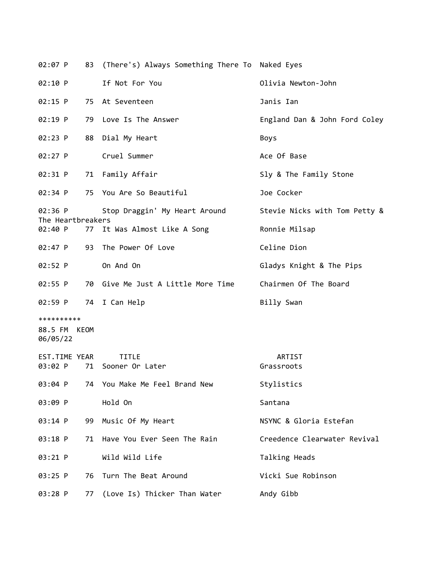| 02:07 P                      |    | 83 (There's) Always Something There To Naked Eyes |                               |
|------------------------------|----|---------------------------------------------------|-------------------------------|
| 02:10 P                      |    | If Not For You                                    | Olivia Newton-John            |
| 02:15 P                      |    | 75 At Seventeen                                   | Janis Ian                     |
| 02:19 P                      |    | 79 Love Is The Answer                             | England Dan & John Ford Coley |
| 02:23 P                      | 88 | Dial My Heart                                     | Boys                          |
| $02:27$ P                    |    | Cruel Summer                                      | Ace Of Base                   |
| 02:31 P                      |    | 71 Family Affair                                  | Sly & The Family Stone        |
| $02:34$ P                    |    | 75 You Are So Beautiful                           | Joe Cocker                    |
| 02:36 P<br>The Heartbreakers |    | Stop Draggin' My Heart Around                     | Stevie Nicks with Tom Petty & |
| 02:40 P                      |    | 77 It Was Almost Like A Song                      | Ronnie Milsap                 |
| $02:47$ P                    | 93 | The Power Of Love                                 | Celine Dion                   |
| 02:52 P                      |    | On And On                                         | Gladys Knight & The Pips      |
| 02:55 P                      |    | 70 Give Me Just A Little More Time                | Chairmen Of The Board         |
| 02:59 P                      |    | 74 I Can Help                                     | Billy Swan                    |
| **********                   |    |                                                   |                               |
| 88.5 FM KEOM<br>06/05/22     |    |                                                   |                               |
| EST.TIME YEAR                |    | <b>TITLE</b>                                      | ARTIST                        |
| 03:02 P                      | 71 | Sooner Or Later                                   | Grassroots                    |
| 03:04 P                      |    | 74 You Make Me Feel Brand New                     | Stylistics                    |
| 03:09 P                      |    | Hold On                                           | Santana                       |
| 03:14 P                      | 99 | Music Of My Heart                                 | NSYNC & Gloria Estefan        |
| 03:18 P                      | 71 | Have You Ever Seen The Rain                       | Creedence Clearwater Revival  |
| 03:21 P                      |    | Wild Wild Life                                    | Talking Heads                 |
| 03:25 P                      | 76 | Turn The Beat Around                              | Vicki Sue Robinson            |
| 03:28 P                      | 77 | (Love Is) Thicker Than Water                      | Andy Gibb                     |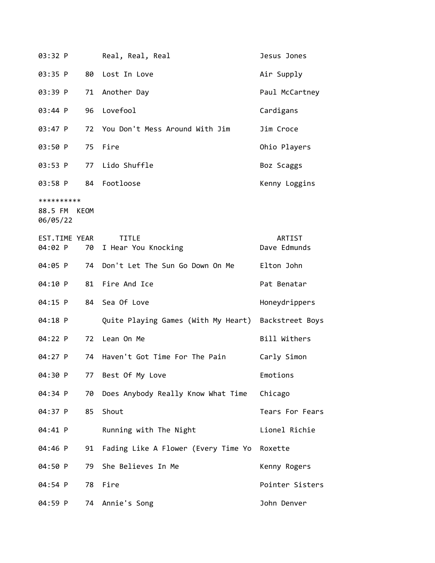| 03:32 P                                |    | Real, Real, Real                                    | Jesus Jones            |
|----------------------------------------|----|-----------------------------------------------------|------------------------|
| 03:35 P                                | 80 | Lost In Love                                        | Air Supply             |
| 03:39 P                                | 71 | Another Day                                         | Paul McCartney         |
| 03:44 P                                | 96 | Lovefool                                            | Cardigans              |
| 03:47 P                                | 72 | You Don't Mess Around With Jim                      | Jim Croce              |
| 03:50 P                                | 75 | Fire                                                | Ohio Players           |
| 03:53 P                                | 77 | Lido Shuffle                                        | Boz Scaggs             |
| 03:58 P                                |    | 84 Footloose                                        | Kenny Loggins          |
| **********<br>88.5 FM KEOM<br>06/05/22 |    |                                                     |                        |
| EST.TIME YEAR<br>04:02 P               | 70 | <b>TITLE</b><br>I Hear You Knocking                 | ARTIST<br>Dave Edmunds |
| 04:05 P                                | 74 | Don't Let The Sun Go Down On Me                     | Elton John             |
| 04:10 P                                | 81 | Fire And Ice                                        | Pat Benatar            |
| 04:15 P                                |    | 84 Sea Of Love                                      | Honeydrippers          |
| 04:18 P                                |    | Quite Playing Games (With My Heart) Backstreet Boys |                        |
| 04:22 P                                | 72 | Lean On Me                                          | Bill Withers           |
| 04:27 P                                | 74 | Haven't Got Time For The Pain                       | Carly Simon            |
| 04:30 P                                |    | 77 Best Of My Love                                  | Emotions               |
| 04:34 P                                | 70 | Does Anybody Really Know What Time                  | Chicago                |
| 04:37 P                                | 85 | Shout                                               | Tears For Fears        |
| 04:41 P                                |    | Running with The Night                              | Lionel Richie          |
| 04:46 P                                | 91 | Fading Like A Flower (Every Time Yo Roxette         |                        |
| 04:50 P                                | 79 | She Believes In Me                                  | Kenny Rogers           |
| 04:54 P                                | 78 | Fire                                                | Pointer Sisters        |
| 04:59 P                                |    | 74 Annie's Song                                     | John Denver            |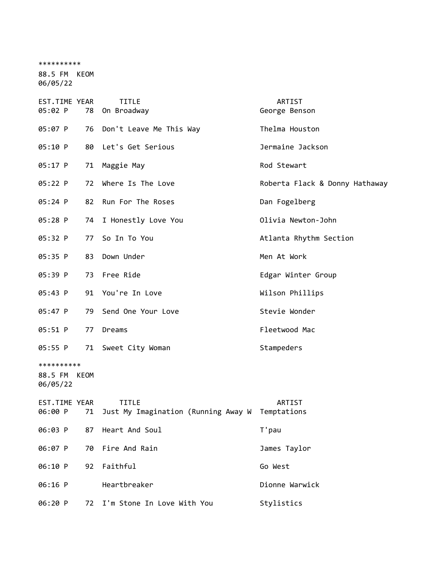\*\*\*\*\*\*\*\*\*\* 88.5 FM KEOM 06/05/22

| EST.TIME YEAR<br>05:02 P               |    | <b>TITLE</b><br>78 On Broadway                                  | ARTIST<br>George Benson        |
|----------------------------------------|----|-----------------------------------------------------------------|--------------------------------|
| 05:07 P                                |    | 76 Don't Leave Me This Way                                      | Thelma Houston                 |
| 05:10 P                                |    | 80 Let's Get Serious                                            | Jermaine Jackson               |
| 05:17 P                                | 71 | Maggie May                                                      | Rod Stewart                    |
| 05:22 P                                | 72 | Where Is The Love                                               | Roberta Flack & Donny Hathaway |
| 05:24 P                                | 82 | Run For The Roses                                               | Dan Fogelberg                  |
| 05:28 P                                |    | 74 I Honestly Love You                                          | Olivia Newton-John             |
| 05:32 P                                |    | 77 So In To You                                                 | Atlanta Rhythm Section         |
| 05:35 P                                |    | 83 Down Under                                                   | Men At Work                    |
| 05:39 P                                |    | 73 Free Ride                                                    | Edgar Winter Group             |
| 05:43 P                                |    | 91 You're In Love                                               | Wilson Phillips                |
| 05:47 P                                |    | 79 Send One Your Love                                           | Stevie Wonder                  |
| 05:51 P                                | 77 | Dreams                                                          | Fleetwood Mac                  |
| 05:55 P                                |    | 71 Sweet City Woman                                             | Stampeders                     |
| **********<br>88.5 FM KEOM<br>06/05/22 |    |                                                                 |                                |
| EST.TIME YEAR<br>06:00 P 71            |    | <b>TITLE</b><br>Just My Imagination (Running Away W Temptations | ARTIST                         |
| 06:03 P                                |    | 87 Heart And Soul                                               | T'pau                          |
| 06:07 P                                | 70 | Fire And Rain                                                   | James Taylor                   |
| 06:10 P                                | 92 | Faithful                                                        | Go West                        |
| 06:16 P                                |    | Heartbreaker                                                    | Dionne Warwick                 |
| 06:20 P                                | 72 | I'm Stone In Love With You                                      | Stylistics                     |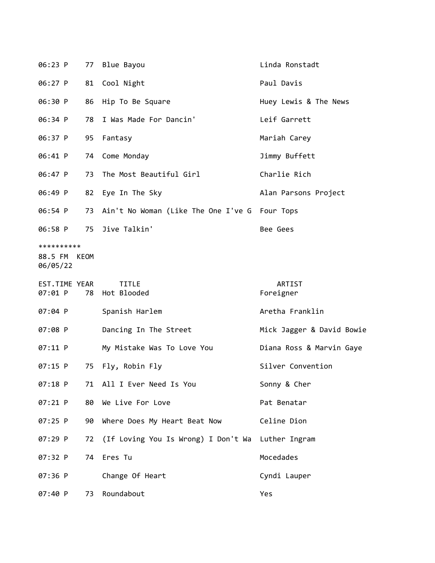| 06:23 P                           |      | 77 Blue Bayou                                    | Linda Ronstadt            |  |
|-----------------------------------|------|--------------------------------------------------|---------------------------|--|
| 06:27 P                           | 81   | Cool Night                                       | Paul Davis                |  |
| 06:30 P                           | 86   | Hip To Be Square                                 | Huey Lewis & The News     |  |
| 06:34 P                           | 78   | I Was Made For Dancin'                           | Leif Garrett              |  |
| 06:37 P                           | 95   | Fantasy                                          | Mariah Carey              |  |
| 06:41 P                           | 74   | Come Monday                                      | Jimmy Buffett             |  |
| 06:47 P                           | 73   | The Most Beautiful Girl                          | Charlie Rich              |  |
| 06:49 P                           | 82   | Eye In The Sky                                   | Alan Parsons Project      |  |
| 06:54 P                           |      | 73 Ain't No Woman (Like The One I've G Four Tops |                           |  |
| 06:58 P                           | 75   | Jive Talkin'                                     | Bee Gees                  |  |
| **********<br>88.5 FM<br>06/05/22 | KEOM |                                                  |                           |  |
| EST.TIME YEAR<br>07:01 P          |      | <b>TITLE</b><br>78 Hot Blooded                   | ARTIST<br>Foreigner       |  |
| 07:04 P                           |      | Spanish Harlem                                   | Aretha Franklin           |  |
| 07:08 P                           |      | Dancing In The Street                            | Mick Jagger & David Bowie |  |
| 07:11 P                           |      | My Mistake Was To Love You                       | Diana Ross & Marvin Gaye  |  |
| 07:15 P                           | 75   | Fly, Robin Fly                                   | Silver Convention         |  |
| 07:18 P                           |      | 71 All I Ever Need Is You                        | Sonny & Cher              |  |
| 07:21 P                           | 80   | We Live For Love                                 | Pat Benatar               |  |
| 07:25 P                           | 90   | Where Does My Heart Beat Now                     | Celine Dion               |  |
| 07:29 P                           | 72   | (If Loving You Is Wrong) I Don't Wa              | Luther Ingram             |  |
| 07:32 P                           | 74   | Eres Tu                                          | Mocedades                 |  |
| 07:36 P                           |      | Change Of Heart                                  | Cyndi Lauper              |  |
| 07:40 P                           | 73   | Roundabout                                       | Yes                       |  |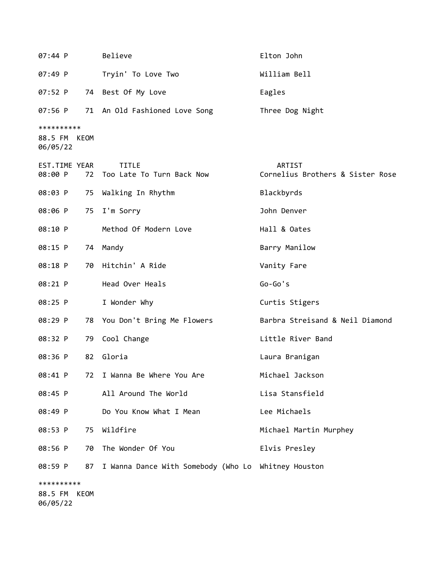| 07:44 P                  |    | Believe                                             | Elton John                                        |
|--------------------------|----|-----------------------------------------------------|---------------------------------------------------|
| 07:49 P                  |    | Tryin' To Love Two                                  | William Bell                                      |
| 07:52 P                  |    | 74 Best Of My Love                                  | Eagles                                            |
| 07:56 P                  |    | 71 An Old Fashioned Love Song                       | Three Dog Night                                   |
| **********               |    |                                                     |                                                   |
| 88.5 FM KEOM<br>06/05/22 |    |                                                     |                                                   |
| EST.TIME YEAR<br>08:00 P |    | <b>TITLE</b><br>72 Too Late To Turn Back Now        | <b>ARTIST</b><br>Cornelius Brothers & Sister Rose |
| 08:03 P                  | 75 | Walking In Rhythm                                   | Blackbyrds                                        |
| 08:06 P                  | 75 | I'm Sorry                                           | John Denver                                       |
| 08:10 P                  |    | Method Of Modern Love                               | Hall & Oates                                      |
| 08:15 P                  |    | 74 Mandy                                            | Barry Manilow                                     |
| 08:18 P                  | 70 | Hitchin' A Ride                                     | Vanity Fare                                       |
| 08:21 P                  |    | Head Over Heals                                     | $Go-Go's$                                         |
| 08:25 P                  |    | I Wonder Why                                        | Curtis Stigers                                    |
| 08:29 P                  |    | 78 You Don't Bring Me Flowers                       | Barbra Streisand & Neil Diamond                   |
| 08:32 P                  | 79 | Cool Change                                         | Little River Band                                 |
| 08:36 P                  | 82 | Gloria                                              | Laura Branigan                                    |
| 08:41 P                  | 72 | I Wanna Be Where You Are                            | Michael Jackson                                   |
| 08:45 P                  |    | All Around The World                                | Lisa Stansfield                                   |
| 08:49 P                  |    | Do You Know What I Mean                             | Lee Michaels                                      |
| 08:53 P                  | 75 | Wildfire                                            | Michael Martin Murphey                            |
| 08:56 P                  | 70 | The Wonder Of You                                   | Elvis Presley                                     |
| 08:59 P                  | 87 | I Wanna Dance With Somebody (Who Lo Whitney Houston |                                                   |
| **********               |    |                                                     |                                                   |
| 88.5 FM KEOM<br>06/05/22 |    |                                                     |                                                   |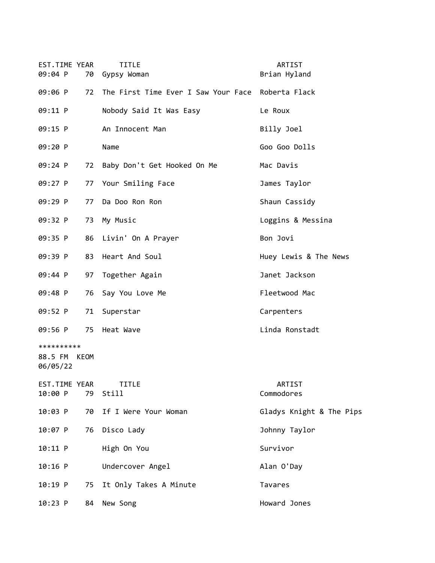| EST.TIME YEAR<br>09:04 P               | 70 | TITLE<br>Gypsy Woman                              | <b>ARTIST</b><br>Brian Hyland |
|----------------------------------------|----|---------------------------------------------------|-------------------------------|
| 09:06 P                                | 72 | The First Time Ever I Saw Your Face Roberta Flack |                               |
| 09:11 P                                |    | Nobody Said It Was Easy                           | Le Roux                       |
| 09:15 P                                |    | An Innocent Man                                   | Billy Joel                    |
| 09:20 P                                |    | Name                                              | Goo Goo Dolls                 |
| 09:24 P                                | 72 | Baby Don't Get Hooked On Me                       | Mac Davis                     |
| 09:27 P                                | 77 | Your Smiling Face                                 | James Taylor                  |
| 09:29 P                                | 77 | Da Doo Ron Ron                                    | Shaun Cassidy                 |
| 09:32 P                                | 73 | My Music                                          | Loggins & Messina             |
| 09:35 P                                | 86 | Livin' On A Prayer                                | Bon Jovi                      |
| 09:39 P                                | 83 | Heart And Soul                                    | Huey Lewis & The News         |
| 09:44 P                                | 97 | Together Again                                    | Janet Jackson                 |
| 09:48 P                                | 76 | Say You Love Me                                   | Fleetwood Mac                 |
| 09:52 P                                | 71 | Superstar                                         | Carpenters                    |
| 09:56 P                                | 75 | Heat Wave                                         | Linda Ronstadt                |
| **********<br>88.5 FM KEOM<br>06/05/22 |    |                                                   |                               |
| EST.TIME YEAR<br>10:00 P               | 79 | <b>TITLE</b><br>Still                             | ARTIST<br>Commodores          |
| 10:03 P                                | 70 | If I Were Your Woman                              | Gladys Knight & The Pips      |
| 10:07 P                                | 76 | Disco Lady                                        | Johnny Taylor                 |
| 10:11 P                                |    | High On You                                       | Survivor                      |
| $10:16$ P                              |    | Undercover Angel                                  | Alan O'Day                    |
| $10:19$ P                              | 75 | It Only Takes A Minute                            | Tavares                       |
| $10:23$ P                              | 84 | New Song                                          | Howard Jones                  |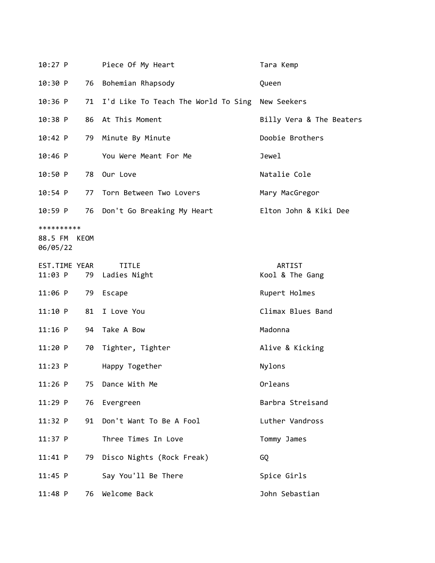| $10:27$ P           |      | Piece Of My Heart                                  | Tara Kemp                |  |
|---------------------|------|----------------------------------------------------|--------------------------|--|
| 10:30 P             | 76   | Bohemian Rhapsody                                  | Queen                    |  |
| $10:36$ P           |      | 71 I'd Like To Teach The World To Sing New Seekers |                          |  |
| $10:38$ P           | 86   | At This Moment                                     | Billy Vera & The Beaters |  |
| 10:42 P             | 79   | Minute By Minute                                   | Doobie Brothers          |  |
| $10:46$ P           |      | You Were Meant For Me                              | Jewel                    |  |
| 10:50 P             | 78   | Our Love                                           | Natalie Cole             |  |
| $10:54$ P           |      | 77 Torn Between Two Lovers                         | Mary MacGregor           |  |
| 10:59 P             | 76   | Don't Go Breaking My Heart                         | Elton John & Kiki Dee    |  |
| **********          |      |                                                    |                          |  |
| 88.5 FM<br>06/05/22 | KEOM |                                                    |                          |  |
| EST.TIME YEAR       |      | <b>TITLE</b>                                       | ARTIST                   |  |
| 11:03 P             | 79   | Ladies Night                                       | Kool & The Gang          |  |
| 11:06 P             | 79   | Escape                                             | Rupert Holmes            |  |
| 11:10 P             | 81   | I Love You                                         | Climax Blues Band        |  |
| $11:16$ P           | 94   | Take A Bow                                         | Madonna                  |  |
| 11:20 P             | 70   | Tighter, Tighter                                   | Alive & Kicking          |  |
| $11:23$ P           |      | Happy Together                                     | Nylons                   |  |
| $11:26$ P           | 75   | Dance With Me                                      | Orleans                  |  |
| $11:29$ P           | 76   | Evergreen                                          | Barbra Streisand         |  |
| 11:32 P             | 91   | Don't Want To Be A Fool                            | Luther Vandross          |  |
| $11:37$ P           |      | Three Times In Love                                | Tommy James              |  |
| $11:41$ P           |      | 79 Disco Nights (Rock Freak)                       | GQ                       |  |
| $11:45$ P           |      | Say You'll Be There                                | Spice Girls              |  |
| $11:48$ P           | 76   | Welcome Back                                       | John Sebastian           |  |